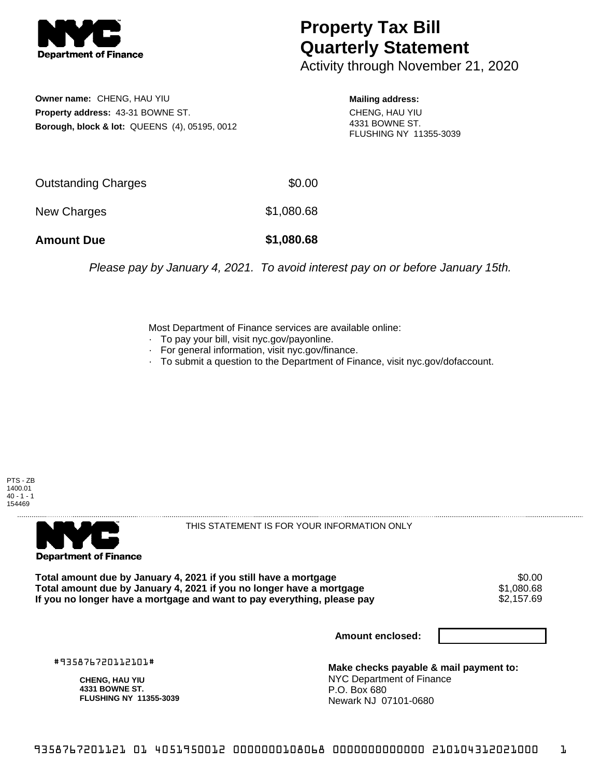

## **Property Tax Bill Quarterly Statement**

Activity through November 21, 2020

**Owner name:** CHENG, HAU YIU **Property address:** 43-31 BOWNE ST. **Borough, block & lot:** QUEENS (4), 05195, 0012 **Mailing address:**

CHENG, HAU YIU 4331 BOWNE ST. FLUSHING NY 11355-3039

| <b>Amount Due</b>   | \$1,080.68 |
|---------------------|------------|
| New Charges         | \$1,080.68 |
| Outstanding Charges | \$0.00     |

Please pay by January 4, 2021. To avoid interest pay on or before January 15th.

Most Department of Finance services are available online:

- · To pay your bill, visit nyc.gov/payonline.
- For general information, visit nyc.gov/finance.
- · To submit a question to the Department of Finance, visit nyc.gov/dofaccount.

PTS - ZB 1400.01  $40 - 1 - 1$ 154469



THIS STATEMENT IS FOR YOUR INFORMATION ONLY

Total amount due by January 4, 2021 if you still have a mortgage  $$0.00$ <br>Total amount due by January 4, 2021 if you no longer have a mortgage  $$1,080.68$ **Total amount due by January 4, 2021 if you no longer have a mortgage**  $$1,080.68$ **<br>If you no longer have a mortgage and want to pay everything, please pay**  $$2,157.69$ If you no longer have a mortgage and want to pay everything, please pay

**Amount enclosed:**

#935876720112101#

**CHENG, HAU YIU 4331 BOWNE ST. FLUSHING NY 11355-3039**

**Make checks payable & mail payment to:** NYC Department of Finance P.O. Box 680 Newark NJ 07101-0680